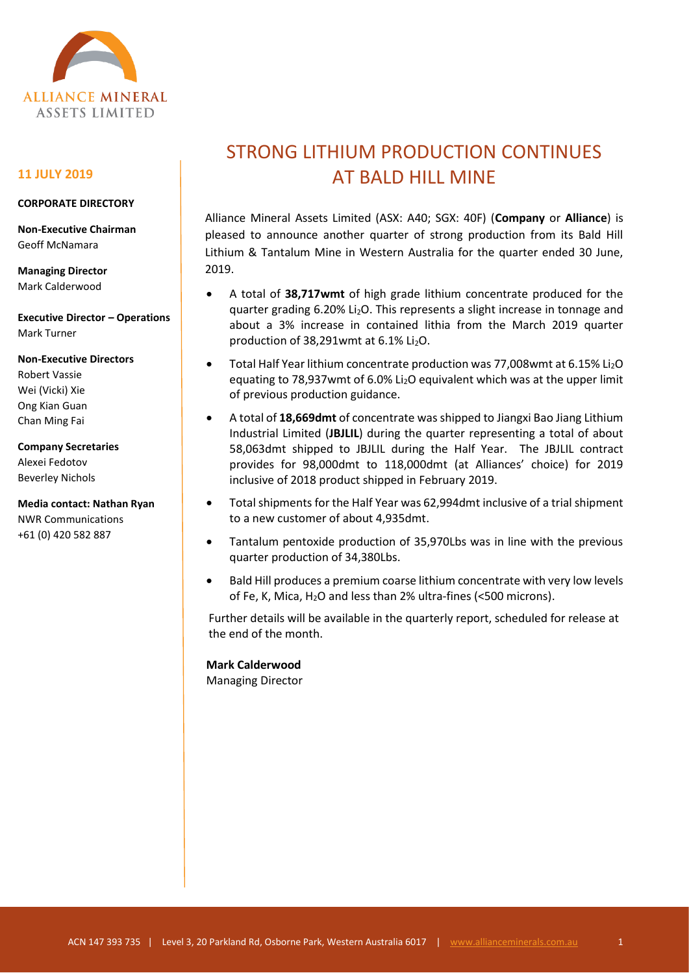

### **11 JULY 2019**

### **CORPORATE DIRECTORY**

**Non-Executive Chairman** Geoff McNamara

**Managing Director** Mark Calderwood

**Executive Director – Operations** Mark Turner

**Non-Executive Directors** Robert Vassie Wei (Vicki) Xie Ong Kian Guan Chan Ming Fai

**Company Secretaries** Alexei Fedotov Beverley Nichols

**Media contact: Nathan Ryan** NWR Communications +61 (0) 420 582 887

# STRONG LITHIUM PRODUCTION CONTINUES AT BALD HILL MINE

Alliance Mineral Assets Limited (ASX: A40; SGX: 40F) (**Company** or **Alliance**) is pleased to announce another quarter of strong production from its Bald Hill Lithium & Tantalum Mine in Western Australia for the quarter ended 30 June, 2019.

- A total of **38,717wmt** of high grade lithium concentrate produced for the quarter grading 6.20% Li2O. This represents a slight increase in tonnage and about a 3% increase in contained lithia from the March 2019 quarter production of  $38,291$ wmt at  $6.1\%$  Li<sub>2</sub>O.
- Total Half Year lithium concentrate production was 77,008 wmt at 6.15% Li<sub>2</sub>O equating to 78,937 wmt of 6.0% Li<sub>2</sub>O equivalent which was at the upper limit of previous production guidance.
- A total of **18,669dmt** of concentrate was shipped to Jiangxi Bao Jiang Lithium Industrial Limited (**JBJLIL**) during the quarter representing a total of about 58,063dmt shipped to JBJLIL during the Half Year. The JBJLIL contract provides for 98,000dmt to 118,000dmt (at Alliances' choice) for 2019 inclusive of 2018 product shipped in February 2019.
- Total shipments for the Half Year was 62,994dmt inclusive of a trial shipment to a new customer of about 4,935dmt.
- Tantalum pentoxide production of 35,970Lbs was in line with the previous quarter production of 34,380Lbs.
- Bald Hill produces a premium coarse lithium concentrate with very low levels of Fe, K, Mica,  $H_2O$  and less than 2% ultra-fines (<500 microns).

Further details will be available in the quarterly report, scheduled for release at the end of the month.

## **Mark Calderwood**

Managing Director